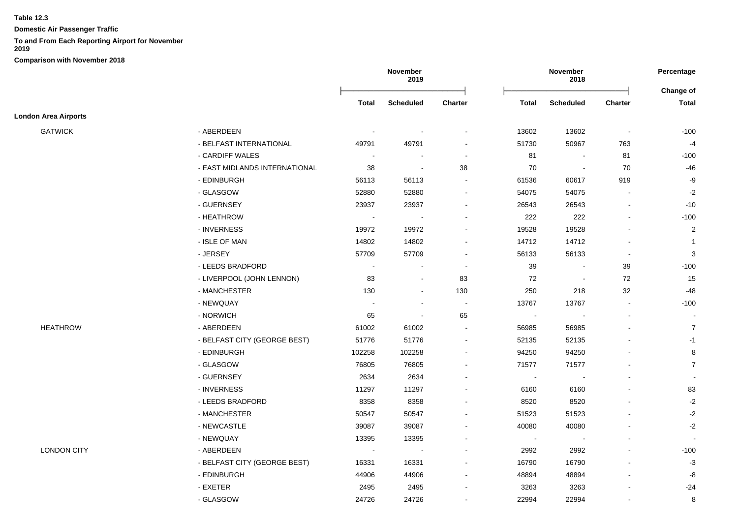**Domestic Air Passenger Traffic**

## **To and From Each Reporting Airport for November**

|                             |                               |                | November<br>2019         |                          |              | November<br>2018 |                          |                |  |
|-----------------------------|-------------------------------|----------------|--------------------------|--------------------------|--------------|------------------|--------------------------|----------------|--|
|                             |                               |                |                          |                          |              |                  |                          | Change of      |  |
|                             |                               | <b>Total</b>   | <b>Scheduled</b>         | <b>Charter</b>           | <b>Total</b> | <b>Scheduled</b> | <b>Charter</b>           | <b>Total</b>   |  |
| <b>London Area Airports</b> |                               |                |                          |                          |              |                  |                          |                |  |
| <b>GATWICK</b>              | - ABERDEEN                    | $\blacksquare$ |                          | $\overline{\phantom{a}}$ | 13602        | 13602            | $\blacksquare$           | $-100$         |  |
|                             | - BELFAST INTERNATIONAL       | 49791          | 49791                    | $\blacksquare$           | 51730        | 50967            | 763                      | $-4$           |  |
|                             | - CARDIFF WALES               |                | $\overline{\phantom{a}}$ | $\blacksquare$           | 81           | $\blacksquare$   | 81                       | $-100$         |  |
|                             | - EAST MIDLANDS INTERNATIONAL | 38             | $\overline{\phantom{a}}$ | 38                       | 70           |                  | 70                       | $-46$          |  |
|                             | - EDINBURGH                   | 56113          | 56113                    | $\blacksquare$           | 61536        | 60617            | 919                      | $-9$           |  |
|                             | - GLASGOW                     | 52880          | 52880                    | $\overline{\phantom{a}}$ | 54075        | 54075            | $\blacksquare$           | $-2$           |  |
|                             | - GUERNSEY                    | 23937          | 23937                    | $\blacksquare$           | 26543        | 26543            | $\blacksquare$           | $-10$          |  |
|                             | - HEATHROW                    | $\sim$         | $\sim$                   | $\blacksquare$           | 222          | 222              | $\blacksquare$           | $-100$         |  |
|                             | - INVERNESS                   | 19972          | 19972                    | $\blacksquare$           | 19528        | 19528            | $\overline{\phantom{a}}$ | $\overline{2}$ |  |
|                             | - ISLE OF MAN                 | 14802          | 14802                    | $\blacksquare$           | 14712        | 14712            | $\blacksquare$           | $\mathbf 1$    |  |
|                             | - JERSEY                      | 57709          | 57709                    |                          | 56133        | 56133            | $\sim$                   | 3              |  |
|                             | - LEEDS BRADFORD              | $\overline{a}$ |                          | $\sim$                   | 39           |                  | 39                       | $-100$         |  |
|                             | - LIVERPOOL (JOHN LENNON)     | 83             | $\blacksquare$           | 83                       | 72           | $\blacksquare$   | 72                       | 15             |  |
|                             | - MANCHESTER                  | 130            | $\blacksquare$           | 130                      | 250          | 218              | 32                       | -48            |  |
|                             | - NEWQUAY                     | ÷              | $\overline{a}$           | $\sim$                   | 13767        | 13767            | $\blacksquare$           | $-100$         |  |
|                             | - NORWICH                     | 65             | $\sim$                   | 65                       | $\sim$       |                  | $\blacksquare$           | $\sim$         |  |
| <b>HEATHROW</b>             | - ABERDEEN                    | 61002          | 61002                    | $\sim$                   | 56985        | 56985            | $\blacksquare$           | $\overline{7}$ |  |
|                             | - BELFAST CITY (GEORGE BEST)  | 51776          | 51776                    | $\blacksquare$           | 52135        | 52135            | $\blacksquare$           | $-1$           |  |
|                             | - EDINBURGH                   | 102258         | 102258                   | $\blacksquare$           | 94250        | 94250            |                          | 8              |  |
|                             | - GLASGOW                     | 76805          | 76805                    | $\blacksquare$           | 71577        | 71577            |                          | $\overline{7}$ |  |
|                             | - GUERNSEY                    | 2634           | 2634                     |                          | $\sim$       | $\sim$           |                          |                |  |
|                             | - INVERNESS                   | 11297          | 11297                    |                          | 6160         | 6160             |                          | 83             |  |
|                             | - LEEDS BRADFORD              | 8358           | 8358                     |                          | 8520         | 8520             |                          | $-2$           |  |
|                             | - MANCHESTER                  | 50547          | 50547                    | $\blacksquare$           | 51523        | 51523            |                          | $-2$           |  |
|                             | - NEWCASTLE                   | 39087          | 39087                    |                          | 40080        | 40080            |                          | $-2$           |  |
|                             | - NEWQUAY                     | 13395          | 13395                    | $\blacksquare$           |              | $\sim$           | $\blacksquare$           | $\sim$         |  |
| <b>LONDON CITY</b>          | - ABERDEEN                    | $\blacksquare$ | $\sim$                   | $\blacksquare$           | 2992         | 2992             | $\blacksquare$           | $-100$         |  |
|                             | - BELFAST CITY (GEORGE BEST)  | 16331          | 16331                    | $\blacksquare$           | 16790        | 16790            |                          | $-3$           |  |
|                             | - EDINBURGH                   | 44906          | 44906                    | $\blacksquare$           | 48894        | 48894            | $\blacksquare$           | -8             |  |
|                             | - EXETER                      | 2495           | 2495                     | $\blacksquare$           | 3263         | 3263             | $\blacksquare$           | $-24$          |  |
|                             | - GLASGOW                     | 24726          | 24726                    | $\blacksquare$           | 22994        | 22994            | $\blacksquare$           | 8              |  |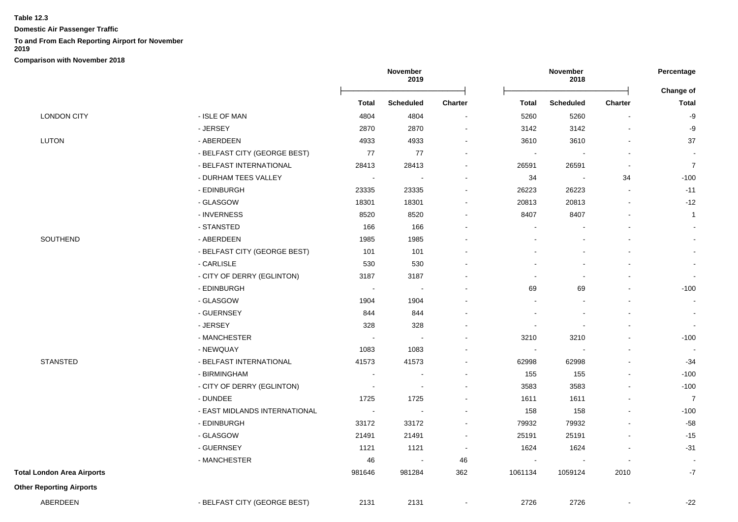**Domestic Air Passenger Traffic**

## **To and From Each Reporting Airport for November**

**2019**

|                                   |                               |        | November<br>2019         |                          | November<br>2018 |                          |                          | Percentage<br>Change of |  |
|-----------------------------------|-------------------------------|--------|--------------------------|--------------------------|------------------|--------------------------|--------------------------|-------------------------|--|
|                                   |                               | Total  | <b>Scheduled</b>         | <b>Charter</b>           | Total            | <b>Scheduled</b>         | <b>Charter</b>           | <b>Total</b>            |  |
| <b>LONDON CITY</b>                | - ISLE OF MAN                 | 4804   | 4804                     | $\sim$                   | 5260             | 5260                     |                          | $-9$                    |  |
|                                   | - JERSEY                      | 2870   | 2870                     | $\sim$                   | 3142             | 3142                     |                          | -9                      |  |
| <b>LUTON</b>                      | - ABERDEEN                    | 4933   | 4933                     | $\sim$                   | 3610             | 3610                     |                          | 37                      |  |
|                                   | - BELFAST CITY (GEORGE BEST)  | 77     | 77                       | $\sim$                   | $\blacksquare$   |                          |                          | $\sim$                  |  |
|                                   | - BELFAST INTERNATIONAL       | 28413  | 28413                    |                          | 26591            | 26591                    |                          | $\overline{7}$          |  |
|                                   | - DURHAM TEES VALLEY          | $\sim$ | $\overline{\phantom{a}}$ | $\sim$                   | 34               | $\overline{\phantom{a}}$ | 34                       | $-100$                  |  |
|                                   | - EDINBURGH                   | 23335  | 23335                    |                          | 26223            | 26223                    | $\sim$                   | $-11$                   |  |
|                                   | - GLASGOW                     | 18301  | 18301                    | $\overline{\phantom{a}}$ | 20813            | 20813                    |                          | $-12$                   |  |
|                                   | - INVERNESS                   | 8520   | 8520                     | $\sim$                   | 8407             | 8407                     |                          | $\mathbf{1}$            |  |
|                                   | - STANSTED                    | 166    | 166                      | $\sim$                   |                  |                          |                          |                         |  |
| SOUTHEND                          | - ABERDEEN                    | 1985   | 1985                     |                          |                  |                          |                          | $\sim$                  |  |
|                                   | - BELFAST CITY (GEORGE BEST)  | 101    | 101                      |                          |                  |                          |                          |                         |  |
|                                   | - CARLISLE                    | 530    | 530                      |                          |                  |                          |                          | $\sim$                  |  |
|                                   | - CITY OF DERRY (EGLINTON)    | 3187   | 3187                     |                          |                  |                          |                          | $\sim$                  |  |
|                                   | - EDINBURGH                   | $\sim$ |                          |                          | 69               | 69                       |                          | $-100$                  |  |
|                                   | - GLASGOW                     | 1904   | 1904                     |                          |                  |                          |                          | $\blacksquare$          |  |
|                                   | - GUERNSEY                    | 844    | 844                      |                          |                  |                          |                          | $\blacksquare$          |  |
|                                   | - JERSEY                      | 328    | 328                      |                          |                  |                          |                          | $\blacksquare$          |  |
|                                   | - MANCHESTER                  | $\sim$ |                          |                          | 3210             | 3210                     |                          | $-100$                  |  |
|                                   | - NEWQUAY                     | 1083   | 1083                     |                          | $\blacksquare$   |                          |                          |                         |  |
| <b>STANSTED</b>                   | - BELFAST INTERNATIONAL       | 41573  | 41573                    | $\overline{\phantom{a}}$ | 62998            | 62998                    |                          | $-34$                   |  |
|                                   | - BIRMINGHAM                  | $\sim$ | $\sim$                   |                          | 155              | 155                      | $\overline{\phantom{a}}$ | $-100$                  |  |
|                                   | - CITY OF DERRY (EGLINTON)    | $\sim$ | $\sim$                   |                          | 3583             | 3583                     | $\overline{a}$           | $-100$                  |  |
|                                   | - DUNDEE                      | 1725   | 1725                     |                          | 1611             | 1611                     |                          | $\overline{7}$          |  |
|                                   | - EAST MIDLANDS INTERNATIONAL | $\sim$ |                          |                          | 158              | 158                      |                          | $-100$                  |  |
|                                   | - EDINBURGH                   | 33172  | 33172                    |                          | 79932            | 79932                    |                          | $-58$                   |  |
|                                   | - GLASGOW                     | 21491  | 21491                    | $\sim$                   | 25191            | 25191                    |                          | $-15$                   |  |
|                                   | - GUERNSEY                    | 1121   | 1121                     | $\sim$                   | 1624             | 1624                     |                          | $-31$                   |  |
|                                   | - MANCHESTER                  | 46     | $\sim$                   | 46                       | $\blacksquare$   |                          |                          | $\sim$                  |  |
| <b>Total London Area Airports</b> |                               | 981646 | 981284                   | 362                      | 1061134          | 1059124                  | 2010                     | $-7$                    |  |
| <b>Other Reporting Airports</b>   |                               |        |                          |                          |                  |                          |                          |                         |  |
| ABERDEEN                          | - BELFAST CITY (GEORGE BEST)  | 2131   | 2131                     | $\blacksquare$           | 2726             | 2726                     |                          | $-22$                   |  |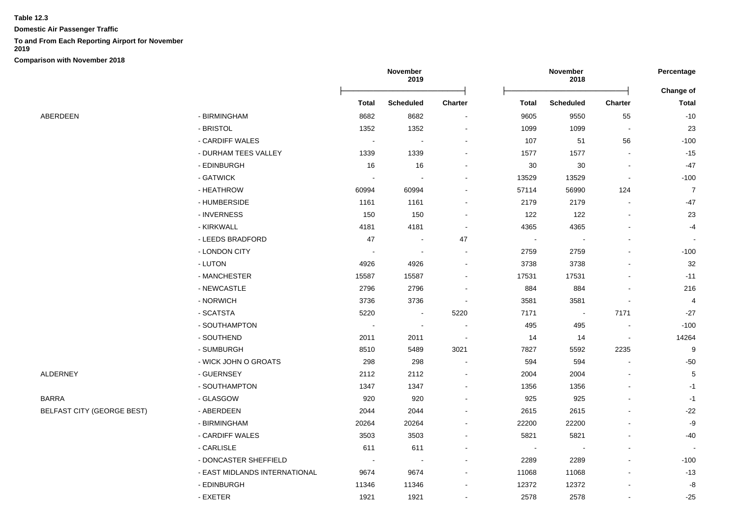**Domestic Air Passenger Traffic**

## **To and From Each Reporting Airport for November**

**2019**

**Comparison with November 2018**

|                                   |                               | November<br>2019         |                          | November<br>2018         |                |                  | Percentage |                  |
|-----------------------------------|-------------------------------|--------------------------|--------------------------|--------------------------|----------------|------------------|------------|------------------|
|                                   |                               |                          |                          |                          |                |                  |            | Change of        |
|                                   |                               | <b>Total</b>             | <b>Scheduled</b>         | Charter                  | <b>Total</b>   | <b>Scheduled</b> | Charter    | <b>Total</b>     |
| ABERDEEN                          | - BIRMINGHAM                  | 8682                     | 8682                     | $\blacksquare$           | 9605           | 9550             | 55         | $-10$            |
|                                   | - BRISTOL                     | 1352                     | 1352                     |                          | 1099           | 1099             |            | 23               |
|                                   | - CARDIFF WALES               | $\sim$                   | $\overline{\phantom{a}}$ |                          | 107            | 51               | 56         | $-100$           |
|                                   | - DURHAM TEES VALLEY          | 1339                     | 1339                     |                          | 1577           | 1577             |            | $-15$            |
|                                   | - EDINBURGH                   | 16                       | 16                       |                          | $30\,$         | $30\,$           |            | $-47$            |
|                                   | - GATWICK                     | $\overline{\phantom{a}}$ | $\overline{\phantom{a}}$ |                          | 13529          | 13529            |            | $-100$           |
|                                   | - HEATHROW                    | 60994                    | 60994                    |                          | 57114          | 56990            | 124        | $\overline{7}$   |
|                                   | - HUMBERSIDE                  | 1161                     | 1161                     |                          | 2179           | 2179             |            | $-47$            |
|                                   | - INVERNESS                   | 150                      | 150                      |                          | 122            | 122              |            | 23               |
|                                   | - KIRKWALL                    | 4181                     | 4181                     | $\sim$                   | 4365           | 4365             |            | $-4$             |
|                                   | - LEEDS BRADFORD              | 47                       | $\sim$                   | 47                       | $\blacksquare$ |                  |            |                  |
|                                   | - LONDON CITY                 | $\overline{\phantom{a}}$ | $\overline{\phantom{a}}$ | $\sim$                   | 2759           | 2759             |            | $-100$           |
|                                   | - LUTON                       | 4926                     | 4926                     |                          | 3738           | 3738             |            | 32               |
|                                   | - MANCHESTER                  | 15587                    | 15587                    |                          | 17531          | 17531            |            | $-11$            |
|                                   | - NEWCASTLE                   | 2796                     | 2796                     |                          | 884            | 884              |            | 216              |
|                                   | - NORWICH                     | 3736                     | 3736                     |                          | 3581           | 3581             |            | 4                |
|                                   | - SCATSTA                     | 5220                     | $\overline{\phantom{a}}$ | 5220                     | 7171           | $\sim$           | 7171       | $-27$            |
|                                   | - SOUTHAMPTON                 |                          | $\overline{\phantom{a}}$ |                          | 495            | 495              |            | $-100$           |
|                                   | - SOUTHEND                    | 2011                     | 2011                     |                          | 14             | 14               |            | 14264            |
|                                   | - SUMBURGH                    | 8510                     | 5489                     | 3021                     | 7827           | 5592             | 2235       | $\boldsymbol{9}$ |
|                                   | - WICK JOHN O GROATS          | 298                      | 298                      |                          | 594            | 594              |            | $-50$            |
| ALDERNEY                          | - GUERNSEY                    | 2112                     | 2112                     |                          | 2004           | 2004             |            | $\mathbf 5$      |
|                                   | - SOUTHAMPTON                 | 1347                     | 1347                     |                          | 1356           | 1356             |            | $-1$             |
| BARRA                             | - GLASGOW                     | 920                      | 920                      |                          | 925            | 925              |            | $-1$             |
| <b>BELFAST CITY (GEORGE BEST)</b> | - ABERDEEN                    | 2044                     | 2044                     |                          | 2615           | 2615             |            | $-22$            |
|                                   | - BIRMINGHAM                  | 20264                    | 20264                    |                          | 22200          | 22200            |            | $-9$             |
|                                   | - CARDIFF WALES               | 3503                     | 3503                     |                          | 5821           | 5821             |            | $-40$            |
|                                   | - CARLISLE                    | 611                      | 611                      |                          |                |                  |            |                  |
|                                   | - DONCASTER SHEFFIELD         | $\sim$                   | $\overline{\phantom{a}}$ | $\overline{\phantom{a}}$ | 2289           | 2289             |            | $-100$           |
|                                   | - EAST MIDLANDS INTERNATIONAL | 9674                     | 9674                     | $\sim$                   | 11068          | 11068            |            | $-13$            |
|                                   | - EDINBURGH                   | 11346                    | 11346                    |                          | 12372          | 12372            |            | -8               |
|                                   | - EXETER                      | 1921                     | 1921                     |                          | 2578           | 2578             |            | $-25$            |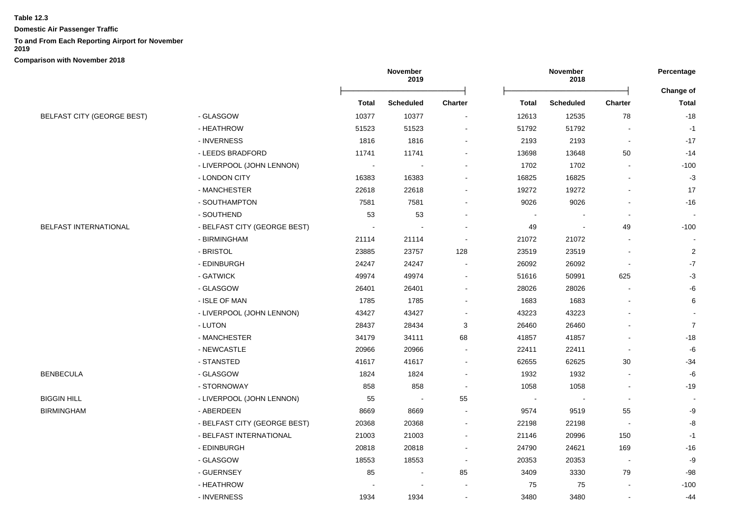**Domestic Air Passenger Traffic**

#### **To and From Each Reporting Airport for November**

**2019**

|                                   |                              |                | November<br>2019 |                |                          | November<br>2018 |                          | Percentage                |
|-----------------------------------|------------------------------|----------------|------------------|----------------|--------------------------|------------------|--------------------------|---------------------------|
|                                   |                              | Total          | <b>Scheduled</b> | <b>Charter</b> | Total                    | <b>Scheduled</b> | <b>Charter</b>           | Change of<br><b>Total</b> |
| <b>BELFAST CITY (GEORGE BEST)</b> | - GLASGOW                    | 10377          | 10377            |                | 12613                    | 12535            | 78                       | $-18$                     |
|                                   | - HEATHROW                   | 51523          | 51523            |                | 51792                    | 51792            |                          | $-1$                      |
|                                   | - INVERNESS                  | 1816           | 1816             |                | 2193                     | 2193             | $\blacksquare$           | $-17$                     |
|                                   | - LEEDS BRADFORD             | 11741          | 11741            |                | 13698                    | 13648            | 50                       | $-14$                     |
|                                   | - LIVERPOOL (JOHN LENNON)    | $\blacksquare$ |                  |                | 1702                     | 1702             |                          | $-100$                    |
|                                   | - LONDON CITY                | 16383          | 16383            |                | 16825                    | 16825            |                          | $-3$                      |
|                                   | - MANCHESTER                 | 22618          | 22618            |                | 19272                    | 19272            |                          | 17                        |
|                                   | - SOUTHAMPTON                | 7581           | 7581             |                | 9026                     | 9026             |                          | $-16$                     |
|                                   | - SOUTHEND                   | 53             | 53               |                |                          |                  |                          |                           |
| BELFAST INTERNATIONAL             | - BELFAST CITY (GEORGE BEST) |                |                  |                | 49                       |                  | 49                       | $-100$                    |
|                                   | - BIRMINGHAM                 | 21114          | 21114            |                | 21072                    | 21072            |                          |                           |
|                                   | - BRISTOL                    | 23885          | 23757            | 128            | 23519                    | 23519            |                          | $\overline{c}$            |
|                                   | - EDINBURGH                  | 24247          | 24247            |                | 26092                    | 26092            | $\blacksquare$           | $-7$                      |
|                                   | - GATWICK                    | 49974          | 49974            |                | 51616                    | 50991            | 625                      | $-3$                      |
|                                   | - GLASGOW                    | 26401          | 26401            |                | 28026                    | 28026            |                          | -6                        |
|                                   | - ISLE OF MAN                | 1785           | 1785             |                | 1683                     | 1683             |                          | 6                         |
|                                   | - LIVERPOOL (JOHN LENNON)    | 43427          | 43427            |                | 43223                    | 43223            |                          |                           |
|                                   | - LUTON                      | 28437          | 28434            | 3              | 26460                    | 26460            |                          | $\overline{7}$            |
|                                   | - MANCHESTER                 | 34179          | 34111            | 68             | 41857                    | 41857            |                          | $-18$                     |
|                                   | - NEWCASTLE                  | 20966          | 20966            |                | 22411                    | 22411            |                          | -6                        |
|                                   | - STANSTED                   | 41617          | 41617            |                | 62655                    | 62625            | 30                       | $-34$                     |
| <b>BENBECULA</b>                  | - GLASGOW                    | 1824           | 1824             |                | 1932                     | 1932             | $\blacksquare$           | $-6$                      |
|                                   | - STORNOWAY                  | 858            | 858              |                | 1058                     | 1058             | $\blacksquare$           | $-19$                     |
| BIGGIN HILL                       | - LIVERPOOL (JOHN LENNON)    | 55             |                  | 55             | $\overline{\phantom{a}}$ |                  |                          |                           |
| BIRMINGHAM                        | - ABERDEEN                   | 8669           | 8669             |                | 9574                     | 9519             | 55                       | -9                        |
|                                   | - BELFAST CITY (GEORGE BEST) | 20368          | 20368            |                | 22198                    | 22198            |                          | -8                        |
|                                   | - BELFAST INTERNATIONAL      | 21003          | 21003            |                | 21146                    | 20996            | 150                      | $-1$                      |
|                                   | - EDINBURGH                  | 20818          | 20818            |                | 24790                    | 24621            | 169                      | $-16$                     |
|                                   | - GLASGOW                    | 18553          | 18553            | $\sim$         | 20353                    | 20353            | $\overline{\phantom{a}}$ | -9                        |
|                                   | - GUERNSEY                   | 85             | $\blacksquare$   | 85             | 3409                     | 3330             | 79                       | -98                       |
|                                   | - HEATHROW                   |                |                  |                | 75                       | 75               |                          | $-100$                    |
|                                   | - INVERNESS                  | 1934           | 1934             |                | 3480                     | 3480             | $\blacksquare$           | $-44$                     |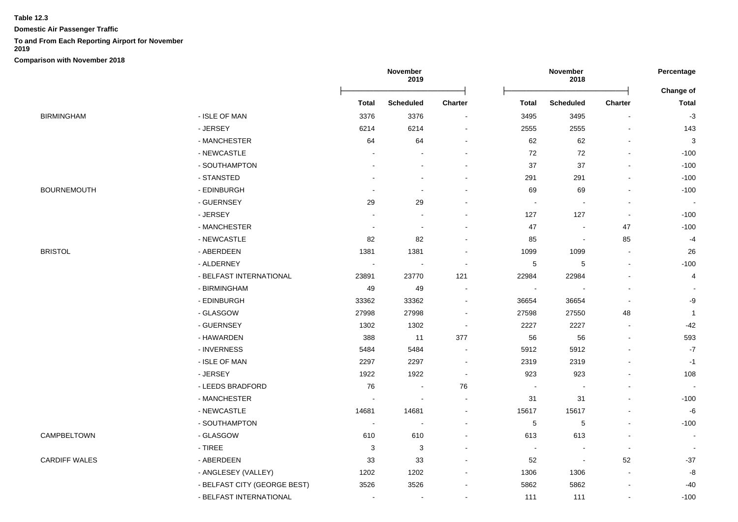**Domestic Air Passenger Traffic**

# **To and From Each Reporting Airport for November**

**2019**

|                    |                              |                          | November<br>2019 |            |                          | November<br>2018         |                          | Percentage                |
|--------------------|------------------------------|--------------------------|------------------|------------|--------------------------|--------------------------|--------------------------|---------------------------|
|                    |                              | <b>Total</b>             | <b>Scheduled</b> | Charter    | <b>Total</b>             | Scheduled                | Charter                  | Change of<br><b>Total</b> |
| BIRMINGHAM         | - ISLE OF MAN                | 3376                     | 3376             |            | 3495                     | 3495                     |                          | $-3$                      |
|                    | - JERSEY                     | 6214                     | 6214             |            | 2555                     | 2555                     |                          | 143                       |
|                    | - MANCHESTER                 | 64                       | 64               |            | 62                       | 62                       |                          | $\mathbf{3}$              |
|                    | - NEWCASTLE                  |                          |                  |            | 72                       | 72                       |                          | $-100$                    |
|                    | - SOUTHAMPTON                |                          |                  |            | 37                       | 37                       |                          | $-100$                    |
|                    | - STANSTED                   |                          |                  |            | 291                      | 291                      |                          | $-100$                    |
| <b>BOURNEMOUTH</b> | - EDINBURGH                  |                          |                  |            | 69                       | 69                       |                          | $-100$                    |
|                    | - GUERNSEY                   | 29                       | 29               |            | $\overline{\phantom{a}}$ |                          |                          | $\sim$                    |
|                    | - JERSEY                     |                          |                  |            | 127                      | 127                      |                          | $-100$                    |
|                    | - MANCHESTER                 | $\sim$                   |                  |            | 47                       |                          | 47                       | $-100$                    |
|                    | - NEWCASTLE                  | 82                       | 82               |            | 85                       | $\overline{\phantom{a}}$ | 85                       | $-4$                      |
| <b>BRISTOL</b>     | - ABERDEEN                   | 1381                     | 1381             |            | 1099                     | 1099                     | $\blacksquare$           | 26                        |
|                    | - ALDERNEY                   |                          |                  |            | 5                        | 5                        |                          | $-100$                    |
|                    | - BELFAST INTERNATIONAL      | 23891                    | 23770            | 121        | 22984                    | 22984                    |                          | 4                         |
|                    | - BIRMINGHAM                 | 49                       | 49               |            | $\overline{\phantom{a}}$ |                          |                          |                           |
|                    | - EDINBURGH                  | 33362                    | 33362            | $\sim$     | 36654                    | 36654                    | $\overline{\phantom{a}}$ | -9                        |
|                    | - GLASGOW                    | 27998                    | 27998            |            | 27598                    | 27550                    | 48                       | $\overline{1}$            |
|                    | - GUERNSEY                   | 1302                     | 1302             |            | 2227                     | 2227                     |                          | $-42$                     |
|                    | - HAWARDEN                   | 388                      | 11               | 377        | 56                       | 56                       |                          | 593                       |
|                    | - INVERNESS                  | 5484                     | 5484             |            | 5912                     | 5912                     |                          | $-7$                      |
|                    | - ISLE OF MAN                | 2297                     | 2297             |            | 2319                     | 2319                     |                          | $-1$                      |
|                    | - JERSEY                     | 1922                     | 1922             | $\sim$     | 923                      | 923                      |                          | 108                       |
|                    | - LEEDS BRADFORD             | 76                       |                  | ${\bf 76}$ | $\overline{\phantom{a}}$ | $\overline{\phantom{a}}$ |                          |                           |
|                    | - MANCHESTER                 | $\sim$                   | $\sim$           |            | 31                       | 31                       | $\blacksquare$           | $-100$                    |
|                    | - NEWCASTLE                  | 14681                    | 14681            |            | 15617                    | 15617                    |                          | -6                        |
|                    | - SOUTHAMPTON                | $\overline{\phantom{a}}$ |                  |            | $\mathbf 5$              | 5                        |                          | $-100$                    |
| CAMPBELTOWN        | - GLASGOW                    | 610                      | 610              |            | 613                      | 613                      |                          |                           |
|                    | $-$ TIREE                    | 3                        | 3                |            | $\overline{\phantom{a}}$ | $\blacksquare$           | $\blacksquare$           |                           |
| CARDIFF WALES      | - ABERDEEN                   | 33                       | 33               |            | 52                       | $\overline{\phantom{a}}$ | 52                       | $-37$                     |
|                    | - ANGLESEY (VALLEY)          | 1202                     | 1202             |            | 1306                     | 1306                     | $\overline{\phantom{a}}$ | -8                        |
|                    | - BELFAST CITY (GEORGE BEST) | 3526                     | 3526             |            | 5862                     | 5862                     |                          | $-40$                     |
|                    | - BELFAST INTERNATIONAL      | $\sim$                   | $\sim$           |            | 111                      | 111                      | $\blacksquare$           | $-100$                    |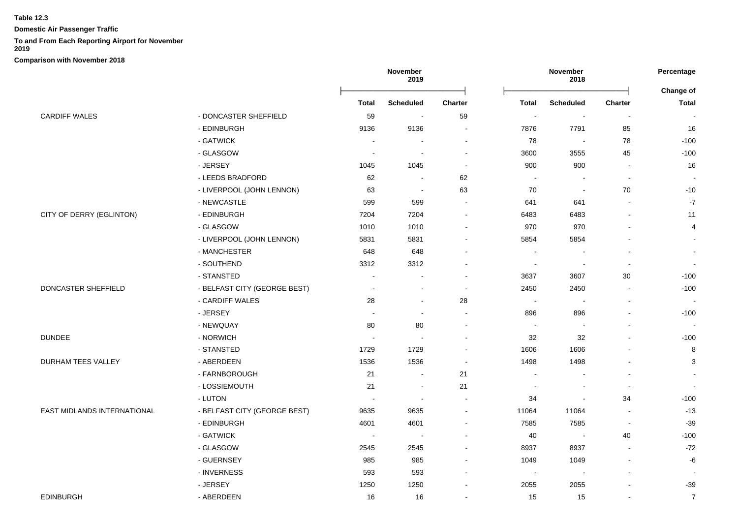**Domestic Air Passenger Traffic**

## **To and From Each Reporting Airport for November**

**2019**

|                             |                              |                          | November<br>2019         |                          |                          | November<br>2018         |                | Percentage<br><b>Change of</b> |  |
|-----------------------------|------------------------------|--------------------------|--------------------------|--------------------------|--------------------------|--------------------------|----------------|--------------------------------|--|
|                             |                              | <b>Total</b>             | <b>Scheduled</b>         | <b>Charter</b>           | <b>Total</b>             | <b>Scheduled</b>         | <b>Charter</b> | <b>Total</b>                   |  |
| <b>CARDIFF WALES</b>        | - DONCASTER SHEFFIELD        | 59                       | $\blacksquare$           | 59                       | $\overline{\phantom{a}}$ | $\blacksquare$           | $\blacksquare$ | $\blacksquare$                 |  |
|                             | - EDINBURGH                  | 9136                     | 9136                     | $\blacksquare$           | 7876                     | 7791                     | 85             | 16                             |  |
|                             | - GATWICK                    | $\sim$                   |                          | $\blacksquare$           | 78                       | $\sim$                   | 78             | $-100$                         |  |
|                             | - GLASGOW                    | $\overline{\phantom{a}}$ | $\sim$                   | $\overline{\phantom{a}}$ | 3600                     | 3555                     | 45             | $-100$                         |  |
|                             | - JERSEY                     | 1045                     | 1045                     | $\blacksquare$           | 900                      | 900                      | $\blacksquare$ | 16                             |  |
|                             | - LEEDS BRADFORD             | 62                       | $\sim$                   | 62                       | $\sim$                   | $\overline{\phantom{a}}$ | $\sim$         | $\overline{\phantom{a}}$       |  |
|                             | - LIVERPOOL (JOHN LENNON)    | 63                       | $\sim$                   | 63                       | 70                       | $\overline{\phantom{a}}$ | 70             | $-10$                          |  |
|                             | - NEWCASTLE                  | 599                      | 599                      | $\sim$                   | 641                      | 641                      |                | $\textnormal{-}7$              |  |
| CITY OF DERRY (EGLINTON)    | - EDINBURGH                  | 7204                     | 7204                     | $\blacksquare$           | 6483                     | 6483                     | $\blacksquare$ | 11                             |  |
|                             | - GLASGOW                    | 1010                     | 1010                     | $\blacksquare$           | 970                      | 970                      | $\blacksquare$ | 4                              |  |
|                             | - LIVERPOOL (JOHN LENNON)    | 5831                     | 5831                     | $\overline{\phantom{a}}$ | 5854                     | 5854                     | $\blacksquare$ |                                |  |
|                             | - MANCHESTER                 | 648                      | 648                      | $\blacksquare$           | $\overline{\phantom{a}}$ | $\blacksquare$           | $\sim$         | $\blacksquare$                 |  |
|                             | - SOUTHEND                   | 3312                     | 3312                     | $\blacksquare$           | $\blacksquare$           | $\sim$                   | $\sim$         | $\blacksquare$                 |  |
|                             | - STANSTED                   | $\sim$                   | $\sim$                   | $\blacksquare$           | 3637                     | 3607                     | 30             | $-100$                         |  |
| DONCASTER SHEFFIELD         | - BELFAST CITY (GEORGE BEST) | $\sim$                   |                          | $\sim$                   | 2450                     | 2450                     | $\sim$         | $-100$                         |  |
|                             | - CARDIFF WALES              | 28                       |                          | 28                       | $\overline{\phantom{a}}$ | $\overline{\phantom{a}}$ | $\blacksquare$ | $\blacksquare$                 |  |
|                             | - JERSEY                     | $\sim$                   | $\sim$                   | $\blacksquare$           | 896                      | 896                      | $\blacksquare$ | $-100$                         |  |
|                             | - NEWQUAY                    | 80                       | 80                       | $\blacksquare$           | $\sim$                   | $\blacksquare$           | $\blacksquare$ | $\blacksquare$                 |  |
| <b>DUNDEE</b>               | - NORWICH                    | $\sim$                   |                          | $\blacksquare$           | 32                       | 32                       | $\blacksquare$ | $-100$                         |  |
|                             | - STANSTED                   | 1729                     | 1729                     | $\blacksquare$           | 1606                     | 1606                     | $\blacksquare$ | $\bf 8$                        |  |
| <b>DURHAM TEES VALLEY</b>   | - ABERDEEN                   | 1536                     | 1536                     | $\sim$                   | 1498                     | 1498                     | $\blacksquare$ | 3                              |  |
|                             | - FARNBOROUGH                | 21                       | $\sim$                   | 21                       | $\blacksquare$           | $\overline{\phantom{a}}$ | $\blacksquare$ | $\sim$                         |  |
|                             | - LOSSIEMOUTH                | 21                       | $\sim$                   | 21                       | $\overline{\phantom{a}}$ | $\blacksquare$           | $\sim$         |                                |  |
|                             | - LUTON                      | $\overline{\phantom{a}}$ |                          | $\overline{\phantom{a}}$ | 34                       | $\blacksquare$           | 34             | $-100$                         |  |
| EAST MIDLANDS INTERNATIONAL | - BELFAST CITY (GEORGE BEST) | 9635                     | 9635                     | $\blacksquare$           | 11064                    | 11064                    | $\blacksquare$ | $-13$                          |  |
|                             | - EDINBURGH                  | 4601                     | 4601                     | $\blacksquare$           | 7585                     | 7585                     | $\sim$         | $-39$                          |  |
|                             | - GATWICK                    | $\overline{\phantom{a}}$ | $\overline{\phantom{a}}$ | $\blacksquare$           | 40                       | $\sim$                   | 40             | $-100$                         |  |
|                             | - GLASGOW                    | 2545                     | 2545                     | $\blacksquare$           | 8937                     | 8937                     | $\sim$         | $-72$                          |  |
|                             | - GUERNSEY                   | 985                      | 985                      | $\blacksquare$           | 1049                     | 1049                     | $\blacksquare$ | -6                             |  |
|                             | - INVERNESS                  | 593                      | 593                      | $\blacksquare$           | $\sim$                   | $\overline{\phantom{a}}$ | $\sim$         |                                |  |
|                             | - JERSEY                     | 1250                     | 1250                     |                          | 2055                     | 2055                     | ÷              | $-39$                          |  |
| <b>EDINBURGH</b>            | - ABERDEEN                   | 16                       | 16                       | $\blacksquare$           | 15                       | 15                       |                | $\overline{7}$                 |  |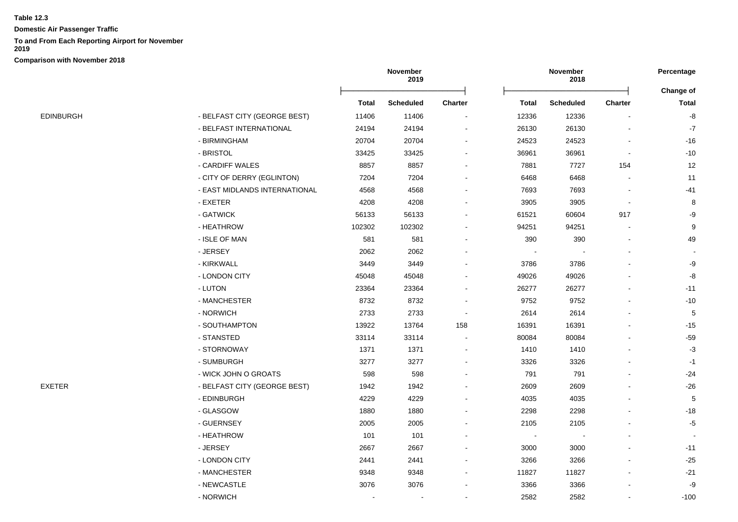**Domestic Air Passenger Traffic**

## **To and From Each Reporting Airport for November**

**2019**

|                  |                               | November<br>2019 |                  |                          |       | Percentage       |                |               |
|------------------|-------------------------------|------------------|------------------|--------------------------|-------|------------------|----------------|---------------|
|                  |                               |                  |                  |                          |       |                  |                | Change of     |
|                  |                               | <b>Total</b>     | <b>Scheduled</b> | <b>Charter</b>           | Total | <b>Scheduled</b> | <b>Charter</b> | <b>Total</b>  |
| <b>EDINBURGH</b> | - BELFAST CITY (GEORGE BEST)  | 11406            | 11406            | $\blacksquare$           | 12336 | 12336            |                | -8            |
|                  | - BELFAST INTERNATIONAL       | 24194            | 24194            |                          | 26130 | 26130            |                | $\mathbf{-7}$ |
|                  | - BIRMINGHAM                  | 20704            | 20704            | $\overline{\phantom{a}}$ | 24523 | 24523            |                | $-16$         |
|                  | - BRISTOL                     | 33425            | 33425            |                          | 36961 | 36961            |                | $-10$         |
|                  | - CARDIFF WALES               | 8857             | 8857             |                          | 7881  | 7727             | 154            | 12            |
|                  | - CITY OF DERRY (EGLINTON)    | 7204             | 7204             |                          | 6468  | 6468             |                | 11            |
|                  | - EAST MIDLANDS INTERNATIONAL | 4568             | 4568             |                          | 7693  | 7693             |                | $-41$         |
|                  | - EXETER                      | 4208             | 4208             |                          | 3905  | 3905             |                | 8             |
|                  | - GATWICK                     | 56133            | 56133            |                          | 61521 | 60604            | 917            | -9            |
|                  | - HEATHROW                    | 102302           | 102302           |                          | 94251 | 94251            |                | 9             |
|                  | - ISLE OF MAN                 | 581              | 581              |                          | 390   | 390              |                | 49            |
|                  | - JERSEY                      | 2062             | 2062             |                          |       |                  |                |               |
|                  | - KIRKWALL                    | 3449             | 3449             |                          | 3786  | 3786             |                | $-9$          |
|                  | - LONDON CITY                 | 45048            | 45048            |                          | 49026 | 49026            |                | $\mbox{-}8$   |
|                  | - LUTON                       | 23364            | 23364            |                          | 26277 | 26277            |                | $-11$         |
|                  | - MANCHESTER                  | 8732             | 8732             |                          | 9752  | 9752             |                | $-10$         |
|                  | - NORWICH                     | 2733             | 2733             |                          | 2614  | 2614             |                | $\mathbf 5$   |
|                  | - SOUTHAMPTON                 | 13922            | 13764            | 158                      | 16391 | 16391            |                | $-15$         |
|                  | - STANSTED                    | 33114            | 33114            |                          | 80084 | 80084            |                | $-59$         |
|                  | - STORNOWAY                   | 1371             | 1371             |                          | 1410  | 1410             |                | $-3$          |
|                  | - SUMBURGH                    | 3277             | 3277             | $\blacksquare$           | 3326  | 3326             |                | $-1$          |
|                  | - WICK JOHN O GROATS          | 598              | 598              |                          | 791   | 791              |                | $-24$         |
| EXETER           | - BELFAST CITY (GEORGE BEST)  | 1942             | 1942             |                          | 2609  | 2609             |                | $-26$         |
|                  | - EDINBURGH                   | 4229             | 4229             |                          | 4035  | 4035             |                | $\mathbf 5$   |
|                  | - GLASGOW                     | 1880             | 1880             |                          | 2298  | 2298             |                | $-18$         |
|                  | - GUERNSEY                    | 2005             | 2005             |                          | 2105  | 2105             |                | $-5$          |
|                  | - HEATHROW                    | 101              | 101              |                          |       |                  |                |               |
|                  | - JERSEY                      | 2667             | 2667             |                          | 3000  | 3000             |                | $-11$         |
|                  | - LONDON CITY                 | 2441             | 2441             |                          | 3266  | 3266             |                | $-25$         |
|                  | - MANCHESTER                  | 9348             | 9348             | $\blacksquare$           | 11827 | 11827            |                | $-21$         |
|                  | - NEWCASTLE                   | 3076             | 3076             |                          | 3366  | 3366             |                | -9            |
|                  | - NORWICH                     |                  |                  |                          | 2582  | 2582             |                | $-100$        |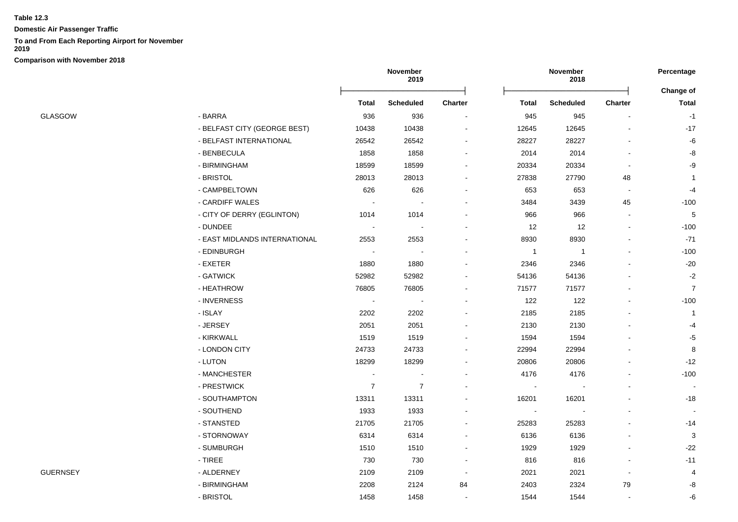**Domestic Air Passenger Traffic**

## **To and From Each Reporting Airport for November**

**2019**

| GLASGOW |  |
|---------|--|

|                 |                               | November<br>2019 |                  |                | Percentage   |                  |                |                           |
|-----------------|-------------------------------|------------------|------------------|----------------|--------------|------------------|----------------|---------------------------|
|                 |                               | Total            | <b>Scheduled</b> | <b>Charter</b> | <b>Total</b> | <b>Scheduled</b> | <b>Charter</b> | Change of<br><b>Total</b> |
| <b>GLASGOW</b>  | - BARRA                       | 936              | 936              | $\sim$         | 945          | 945              |                | $-1$                      |
|                 | - BELFAST CITY (GEORGE BEST)  | 10438            | 10438            |                | 12645        | 12645            |                | $-17$                     |
|                 | - BELFAST INTERNATIONAL       | 26542            | 26542            |                | 28227        | 28227            |                | -6                        |
|                 | - BENBECULA                   | 1858             | 1858             |                | 2014         | 2014             |                | -8                        |
|                 | - BIRMINGHAM                  | 18599            | 18599            |                | 20334        | 20334            |                | -9                        |
|                 | - BRISTOL                     | 28013            | 28013            |                | 27838        | 27790            | 48             | $\mathbf{1}$              |
|                 | - CAMPBELTOWN                 | 626              | 626              |                | 653          | 653              |                | -4                        |
|                 | - CARDIFF WALES               |                  |                  |                | 3484         | 3439             | 45             | $-100$                    |
|                 | - CITY OF DERRY (EGLINTON)    | 1014             | 1014             |                | 966          | 966              |                | 5                         |
|                 | - DUNDEE                      |                  |                  |                | 12           | 12               |                | $-100$                    |
|                 | - EAST MIDLANDS INTERNATIONAL | 2553             | 2553             |                | 8930         | 8930             |                | $-71$                     |
|                 | - EDINBURGH                   | $\blacksquare$   |                  |                | $\mathbf{1}$ | $\overline{1}$   |                | $-100$                    |
|                 | - EXETER                      | 1880             | 1880             |                | 2346         | 2346             |                | $-20$                     |
|                 | - GATWICK                     | 52982            | 52982            |                | 54136        | 54136            |                | $-2$                      |
|                 | - HEATHROW                    | 76805            | 76805            |                | 71577        | 71577            |                | $\overline{7}$            |
|                 | - INVERNESS                   |                  |                  | $\blacksquare$ | 122          | 122              |                | $-100$                    |
|                 | - ISLAY                       | 2202             | 2202             |                | 2185         | 2185             |                | $\overline{\mathbf{1}}$   |
|                 | - JERSEY                      | 2051             | 2051             |                | 2130         | 2130             |                | -4                        |
|                 | - KIRKWALL                    | 1519             | 1519             |                | 1594         | 1594             |                | $-5$                      |
|                 | - LONDON CITY                 | 24733            | 24733            | $\blacksquare$ | 22994        | 22994            |                | 8                         |
|                 | - LUTON                       | 18299            | 18299            |                | 20806        | 20806            |                | $-12$                     |
|                 | - MANCHESTER                  |                  |                  |                | 4176         | 4176             |                | $-100$                    |
|                 | - PRESTWICK                   | $\overline{7}$   | $\overline{7}$   |                |              |                  |                |                           |
|                 | - SOUTHAMPTON                 | 13311            | 13311            |                | 16201        | 16201            |                | $-18$                     |
|                 | - SOUTHEND                    | 1933             | 1933             |                |              |                  |                |                           |
|                 | - STANSTED                    | 21705            | 21705            |                | 25283        | 25283            |                | $-14$                     |
|                 | - STORNOWAY                   | 6314             | 6314             |                | 6136         | 6136             |                | 3                         |
|                 | - SUMBURGH                    | 1510             | 1510             | $\blacksquare$ | 1929         | 1929             |                | $-22$                     |
|                 | - TIREE                       | 730              | 730              | $\blacksquare$ | 816          | 816              |                | $-11$                     |
| <b>GUERNSEY</b> | - ALDERNEY                    | 2109             | 2109             | $\sim$         | 2021         | 2021             |                | $\overline{4}$            |
|                 | - BIRMINGHAM                  | 2208             | 2124             | 84             | 2403         | 2324             | 79             | -8                        |
|                 | - BRISTOL                     | 1458             | 1458             |                | 1544         | 1544             |                | -6                        |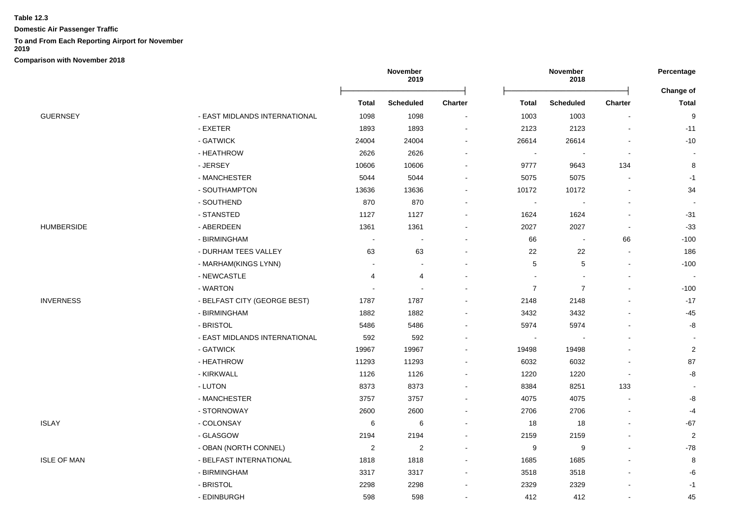**Domestic Air Passenger Traffic**

## **To and From Each Reporting Airport for November**

**2019**

|                    |                               |                | November<br>2019         |                          | November<br>2018         |                          |                          | Percentage       |
|--------------------|-------------------------------|----------------|--------------------------|--------------------------|--------------------------|--------------------------|--------------------------|------------------|
|                    |                               |                |                          |                          |                          |                          |                          | Change of        |
|                    |                               | <b>Total</b>   | <b>Scheduled</b>         | <b>Charter</b>           | Total                    | <b>Scheduled</b>         | Charter                  | <b>Total</b>     |
| <b>GUERNSEY</b>    | - EAST MIDLANDS INTERNATIONAL | 1098           | 1098                     | $\blacksquare$           | 1003                     | 1003                     |                          | 9                |
|                    | - EXETER                      | 1893           | 1893                     | $\overline{\phantom{a}}$ | 2123                     | 2123                     | $\blacksquare$           | $-11$            |
|                    | - GATWICK                     | 24004          | 24004                    |                          | 26614                    | 26614                    |                          | $-10$            |
|                    | - HEATHROW                    | 2626           | 2626                     |                          | $\overline{\phantom{a}}$ |                          | $\blacksquare$           |                  |
|                    | - JERSEY                      | 10606          | 10606                    |                          | 9777                     | 9643                     | 134                      | 8                |
|                    | - MANCHESTER                  | 5044           | 5044                     | $\sim$                   | 5075                     | 5075                     | $\overline{\phantom{a}}$ | $-1$             |
|                    | - SOUTHAMPTON                 | 13636          | 13636                    |                          | 10172                    | 10172                    |                          | 34               |
|                    | - SOUTHEND                    | 870            | 870                      |                          | $\sim$                   |                          |                          |                  |
|                    | - STANSTED                    | 1127           | 1127                     |                          | 1624                     | 1624                     |                          | $-31$            |
| <b>HUMBERSIDE</b>  | - ABERDEEN                    | 1361           | 1361                     |                          | 2027                     | 2027                     | $\blacksquare$           | $-33$            |
|                    | - BIRMINGHAM                  | $\overline{a}$ | $\overline{\phantom{a}}$ |                          | 66                       | $\overline{\phantom{a}}$ | 66                       | $-100$           |
|                    | - DURHAM TEES VALLEY          | 63             | 63                       |                          | 22                       | 22                       |                          | 186              |
|                    | - MARHAM(KINGS LYNN)          |                | $\overline{\phantom{a}}$ |                          | 5                        | 5                        |                          | $-100$           |
|                    | - NEWCASTLE                   | 4              | 4                        |                          | $\sim$                   |                          | $\blacksquare$           | $\sim$           |
|                    | - WARTON                      |                | $\overline{\phantom{a}}$ |                          | $\overline{7}$           | $\overline{7}$           | $\blacksquare$           | $-100$           |
| <b>INVERNESS</b>   | - BELFAST CITY (GEORGE BEST)  | 1787           | 1787                     |                          | 2148                     | 2148                     |                          | $-17$            |
|                    | - BIRMINGHAM                  | 1882           | 1882                     |                          | 3432                     | 3432                     |                          | $-45$            |
|                    | - BRISTOL                     | 5486           | 5486                     |                          | 5974                     | 5974                     |                          | -8               |
|                    | - EAST MIDLANDS INTERNATIONAL | 592            | 592                      |                          | $\blacksquare$           |                          |                          |                  |
|                    | - GATWICK                     | 19967          | 19967                    |                          | 19498                    | 19498                    |                          | $\sqrt{2}$       |
|                    | - HEATHROW                    | 11293          | 11293                    |                          | 6032                     | 6032                     |                          | 87               |
|                    | - KIRKWALL                    | 1126           | 1126                     |                          | 1220                     | 1220                     | $\blacksquare$           | -8               |
|                    | - LUTON                       | 8373           | 8373                     |                          | 8384                     | 8251                     | 133                      |                  |
|                    | - MANCHESTER                  | 3757           | 3757                     |                          | 4075                     | 4075                     | $\overline{\phantom{0}}$ | -8               |
|                    | - STORNOWAY                   | 2600           | 2600                     |                          | 2706                     | 2706                     |                          | -4               |
| <b>ISLAY</b>       | - COLONSAY                    | 6              | 6                        |                          | 18                       | 18                       |                          | $-67$            |
|                    | - GLASGOW                     | 2194           | 2194                     | $\sim$                   | 2159                     | 2159                     |                          | $\boldsymbol{2}$ |
|                    | - OBAN (NORTH CONNEL)         | $\overline{2}$ | $\overline{2}$           |                          | 9                        | 9                        |                          | $-78$            |
| <b>ISLE OF MAN</b> | - BELFAST INTERNATIONAL       | 1818           | 1818                     |                          | 1685                     | 1685                     |                          | 8                |
|                    | - BIRMINGHAM                  | 3317           | 3317                     | $\sim$                   | 3518                     | 3518                     |                          | -6               |
|                    | - BRISTOL                     | 2298           | 2298                     |                          | 2329                     | 2329                     |                          | $-1$             |
|                    | - EDINBURGH                   | 598            | 598                      | $\overline{a}$           | 412                      | 412                      | $\blacksquare$           | 45               |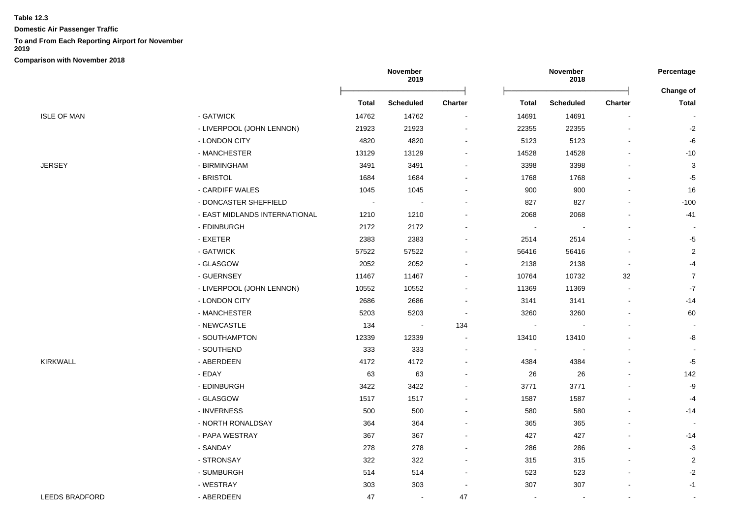**Domestic Air Passenger Traffic**

## **To and From Each Reporting Airport for November**

**2019**

|                       |                               | November<br>2019 |           |                |                | November<br>2018 |                | Percentage<br>Change of |
|-----------------------|-------------------------------|------------------|-----------|----------------|----------------|------------------|----------------|-------------------------|
|                       |                               | Total            | Scheduled | <b>Charter</b> | Total          | <b>Scheduled</b> | <b>Charter</b> | <b>Total</b>            |
| <b>ISLE OF MAN</b>    | - GATWICK                     | 14762            | 14762     |                | 14691          | 14691            |                |                         |
|                       | - LIVERPOOL (JOHN LENNON)     | 21923            | 21923     |                | 22355          | 22355            |                | $-2$                    |
|                       | - LONDON CITY                 | 4820             | 4820      |                | 5123           | 5123             |                | $-6$                    |
|                       | - MANCHESTER                  | 13129            | 13129     |                | 14528          | 14528            |                | $-10$                   |
| <b>JERSEY</b>         | - BIRMINGHAM                  | 3491             | 3491      |                | 3398           | 3398             |                | 3                       |
|                       | - BRISTOL                     | 1684             | 1684      |                | 1768           | 1768             |                | $-5$                    |
|                       | - CARDIFF WALES               | 1045             | 1045      |                | 900            | 900              |                | 16                      |
|                       | - DONCASTER SHEFFIELD         | $\sim$           | $\sim$    |                | 827            | 827              |                | $-100$                  |
|                       | - EAST MIDLANDS INTERNATIONAL | 1210             | 1210      |                | 2068           | 2068             |                | $-41$                   |
|                       | - EDINBURGH                   | 2172             | 2172      |                |                |                  |                |                         |
|                       | - EXETER                      | 2383             | 2383      |                | 2514           | 2514             |                | -5                      |
|                       | - GATWICK                     | 57522            | 57522     |                | 56416          | 56416            |                | $\overline{2}$          |
|                       | - GLASGOW                     | 2052             | 2052      |                | 2138           | 2138             | $\overline{a}$ | $-4$                    |
|                       | - GUERNSEY                    | 11467            | 11467     |                | 10764          | 10732            | 32             | $\overline{7}$          |
|                       | - LIVERPOOL (JOHN LENNON)     | 10552            | 10552     |                | 11369          | 11369            | $\blacksquare$ | $-7$                    |
|                       | - LONDON CITY                 | 2686             | 2686      |                | 3141           | 3141             | $\blacksquare$ | $-14$                   |
|                       | - MANCHESTER                  | 5203             | 5203      |                | 3260           | 3260             |                | 60                      |
|                       | - NEWCASTLE                   | 134              | $\sim$    | 134            |                |                  |                |                         |
|                       | - SOUTHAMPTON                 | 12339            | 12339     |                | 13410          | 13410            |                | -8                      |
|                       | - SOUTHEND                    | 333              | 333       |                | $\blacksquare$ |                  |                |                         |
| <b>KIRKWALL</b>       | - ABERDEEN                    | 4172             | 4172      |                | 4384           | 4384             |                | $-5$                    |
|                       | - EDAY                        | 63               | 63        |                | 26             | 26               |                | 142                     |
|                       | - EDINBURGH                   | 3422             | 3422      |                | 3771           | 3771             |                | -9                      |
|                       | - GLASGOW                     | 1517             | 1517      |                | 1587           | 1587             |                | $-4$                    |
|                       | - INVERNESS                   | 500              | 500       |                | 580            | 580              |                | $-14$                   |
|                       | - NORTH RONALDSAY             | 364              | 364       |                | 365            | 365              |                |                         |
|                       | - PAPA WESTRAY                | 367              | 367       |                | 427            | 427              |                | $-14$                   |
|                       | - SANDAY                      | 278              | 278       |                | 286            | 286              |                | $-3$                    |
|                       | - STRONSAY                    | 322              | 322       |                | 315            | 315              |                | $\overline{2}$          |
|                       | - SUMBURGH                    | 514              | 514       |                | 523            | 523              |                | $-2$                    |
|                       | - WESTRAY                     | 303              | 303       |                | 307            | 307              |                | $-1$                    |
| <b>LEEDS BRADFORD</b> | - ABERDEEN                    | 47               | $\sim$    | 47             | $\blacksquare$ | $\sim$           | $\mathbf{r}$   | $\sim$                  |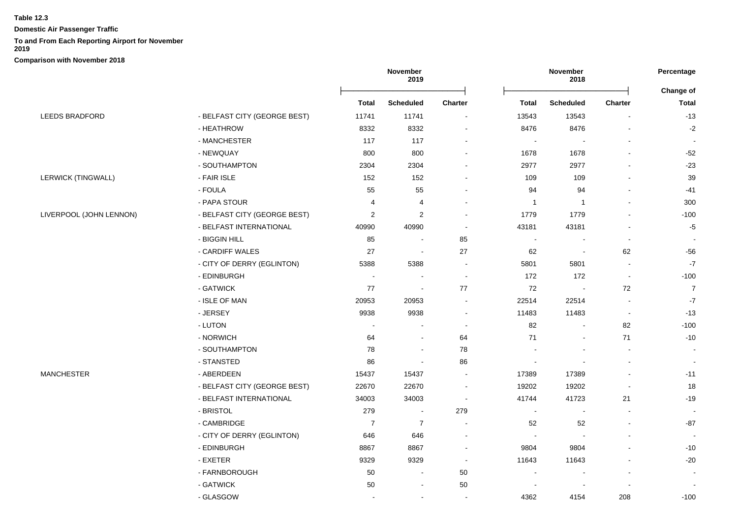**Domestic Air Passenger Traffic**

# **To and From Each Reporting Airport for November**

**2019**

|                           |                              |                          | November<br>2019 |                |                          | November<br>2018         |                | Percentage               |
|---------------------------|------------------------------|--------------------------|------------------|----------------|--------------------------|--------------------------|----------------|--------------------------|
|                           |                              | Total                    | <b>Scheduled</b> | <b>Charter</b> | Total                    | <b>Scheduled</b>         | <b>Charter</b> | Change of<br>Total       |
| <b>LEEDS BRADFORD</b>     | - BELFAST CITY (GEORGE BEST) | 11741                    | 11741            |                | 13543                    | 13543                    |                | $-13$                    |
|                           | - HEATHROW                   | 8332                     | 8332             |                | 8476                     | 8476                     |                | $-2$                     |
|                           | - MANCHESTER                 | 117                      | 117              |                | $\overline{\phantom{a}}$ | $\overline{\phantom{a}}$ |                | $\overline{\phantom{a}}$ |
|                           | - NEWQUAY                    | 800                      | 800              |                | 1678                     | 1678                     |                | $-52$                    |
|                           | - SOUTHAMPTON                | 2304                     | 2304             |                | 2977                     | 2977                     |                | $-23$                    |
| <b>LERWICK (TINGWALL)</b> | - FAIR ISLE                  | 152                      | 152              |                | 109                      | 109                      | $\blacksquare$ | 39                       |
|                           | - FOULA                      | 55                       | 55               |                | 94                       | 94                       | $\overline{a}$ | -41                      |
|                           | - PAPA STOUR                 | 4                        | 4                |                | $\overline{1}$           | $\mathbf{1}$             |                | 300                      |
| LIVERPOOL (JOHN LENNON)   | - BELFAST CITY (GEORGE BEST) | $\overline{2}$           | $\overline{c}$   |                | 1779                     | 1779                     |                | $-100$                   |
|                           | - BELFAST INTERNATIONAL      | 40990                    | 40990            |                | 43181                    | 43181                    |                | $-5$                     |
|                           | - BIGGIN HILL                | 85                       | $\sim$           | 85             | $\blacksquare$           | $\sim$                   | $\blacksquare$ |                          |
|                           | - CARDIFF WALES              | 27                       | $\sim$           | 27             | 62                       | $\overline{\phantom{a}}$ | 62             | $-56$                    |
|                           | - CITY OF DERRY (EGLINTON)   | 5388                     | 5388             | $\sim$         | 5801                     | 5801                     | $\blacksquare$ | $-7$                     |
|                           | - EDINBURGH                  | $\sim$                   | $\blacksquare$   | $\sim$         | 172                      | 172                      | $\sim$         | $-100$                   |
|                           | - GATWICK                    | 77                       | $\sim$           | 77             | 72                       | $\sim$                   | 72             | $\overline{7}$           |
|                           | - ISLE OF MAN                | 20953                    | 20953            |                | 22514                    | 22514                    | $\sim$         | $-7$                     |
|                           | - JERSEY                     | 9938                     | 9938             |                | 11483                    | 11483                    | $\blacksquare$ | $-13$                    |
|                           | - LUTON                      | $\overline{\phantom{a}}$ |                  |                | 82                       | $\blacksquare$           | 82             | $-100$                   |
|                           | - NORWICH                    | 64                       | $\blacksquare$   | 64             | 71                       | $\blacksquare$           | 71             | $-10$                    |
|                           | - SOUTHAMPTON                | 78                       | $\sim$           | 78             |                          |                          | $\blacksquare$ | $\sim$                   |
|                           | - STANSTED                   | 86                       | $\blacksquare$   | 86             |                          |                          |                |                          |
| MANCHESTER                | - ABERDEEN                   | 15437                    | 15437            |                | 17389                    | 17389                    |                | $-11$                    |
|                           | - BELFAST CITY (GEORGE BEST) | 22670                    | 22670            |                | 19202                    | 19202                    |                | 18                       |
|                           | - BELFAST INTERNATIONAL      | 34003                    | 34003            | $\sim$         | 41744                    | 41723                    | 21             | $-19$                    |
|                           | - BRISTOL                    | 279                      | $\sim$           | 279            | $\blacksquare$           | $\sim$                   |                |                          |
|                           | - CAMBRIDGE                  | $\overline{7}$           | $\overline{7}$   |                | 52                       | 52                       |                | -87                      |
|                           | - CITY OF DERRY (EGLINTON)   | 646                      | 646              |                | $\overline{\phantom{a}}$ |                          |                |                          |
|                           | - EDINBURGH                  | 8867                     | 8867             | $\sim$         | 9804                     | 9804                     |                | $-10$                    |
|                           | - EXETER                     | 9329                     | 9329             |                | 11643                    | 11643                    |                | $-20$                    |
|                           | - FARNBOROUGH                | 50                       | $\blacksquare$   | 50             | $\overline{a}$           |                          | $\overline{a}$ |                          |
|                           | - GATWICK                    | 50                       | $\blacksquare$   | 50             |                          |                          |                |                          |
|                           | - GLASGOW                    | $\sim$                   | $\overline{a}$   | $\sim$         | 4362                     | 4154                     | 208            | $-100$                   |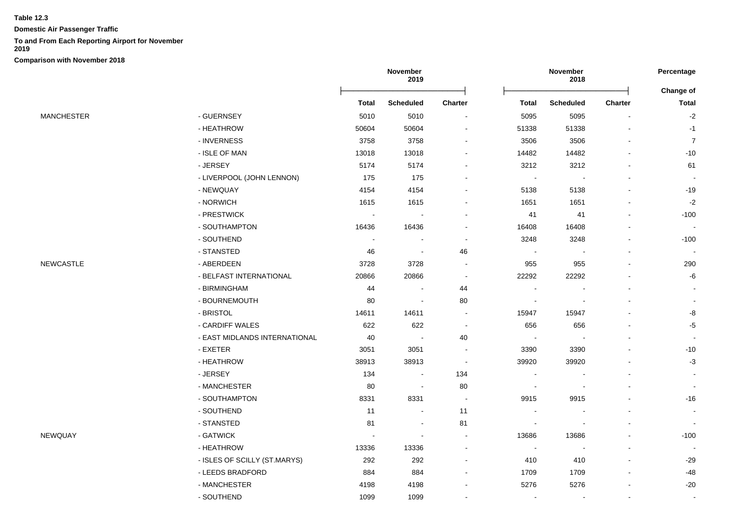**Domestic Air Passenger Traffic**

## **To and From Each Reporting Airport for November**

**2019**

|                   |                               | November<br>2019           |                          | November<br>2018 |                          |                          | Percentage |                           |
|-------------------|-------------------------------|----------------------------|--------------------------|------------------|--------------------------|--------------------------|------------|---------------------------|
|                   |                               | Total                      | <b>Scheduled</b>         | <b>Charter</b>   | Total                    | <b>Scheduled</b>         | Charter    | Change of<br><b>Total</b> |
| <b>MANCHESTER</b> | - GUERNSEY                    | 5010                       | 5010                     |                  | 5095                     | 5095                     |            | $-2$                      |
|                   | - HEATHROW                    | 50604                      | 50604                    |                  | 51338                    | 51338                    |            | $-1$                      |
|                   | - INVERNESS                   | 3758                       | 3758                     |                  | 3506                     | 3506                     |            | $\overline{7}$            |
|                   | - ISLE OF MAN                 | 13018                      | 13018                    |                  | 14482                    | 14482                    |            | -10                       |
|                   | - JERSEY                      | 5174                       | 5174                     |                  | 3212                     | 3212                     |            | 61                        |
|                   | - LIVERPOOL (JOHN LENNON)     | 175                        | 175                      |                  | $\blacksquare$           | $\overline{\phantom{a}}$ |            |                           |
|                   | - NEWQUAY                     | 4154                       | 4154                     |                  | 5138                     | 5138                     |            | $-19$                     |
|                   | - NORWICH                     | 1615                       | 1615                     |                  | 1651                     | 1651                     |            | $-2$                      |
|                   | - PRESTWICK                   | $\mathcal{L}_{\mathbf{r}}$ | $\overline{a}$           |                  | 41                       | 41                       |            | $-100$                    |
|                   | - SOUTHAMPTON                 | 16436                      | 16436                    |                  | 16408                    | 16408                    |            | $\sim$                    |
|                   | - SOUTHEND                    | $\overline{\phantom{a}}$   |                          |                  | 3248                     | 3248                     |            | $-100$                    |
|                   | - STANSTED                    | 46                         | $\sim$                   | 46               | $\blacksquare$           | $\blacksquare$           |            | $\overline{\phantom{a}}$  |
| NEWCASTLE         | - ABERDEEN                    | 3728                       | 3728                     |                  | 955                      | 955                      |            | 290                       |
|                   | - BELFAST INTERNATIONAL       | 20866                      | 20866                    | $\sim$           | 22292                    | 22292                    |            | -6                        |
|                   | - BIRMINGHAM                  | 44                         | $\overline{\phantom{a}}$ | 44               | $\blacksquare$           |                          |            |                           |
|                   | - BOURNEMOUTH                 | 80                         | $\blacksquare$           | 80               | $\blacksquare$           |                          |            |                           |
|                   | - BRISTOL                     | 14611                      | 14611                    |                  | 15947                    | 15947                    |            | -8                        |
|                   | - CARDIFF WALES               | 622                        | 622                      |                  | 656                      | 656                      |            | $-5$                      |
|                   | - EAST MIDLANDS INTERNATIONAL | 40                         | $\sim$                   | 40               | $\overline{\phantom{a}}$ |                          |            |                           |
|                   | - EXETER                      | 3051                       | 3051                     |                  | 3390                     | 3390                     |            | $-10$                     |
|                   | - HEATHROW                    | 38913                      | 38913                    | $\sim$           | 39920                    | 39920                    |            | $-3$                      |
|                   | - JERSEY                      | 134                        | $\blacksquare$           | 134              | $\overline{\phantom{a}}$ |                          |            |                           |
|                   | - MANCHESTER                  | 80                         | $\blacksquare$           | 80               | $\overline{\phantom{a}}$ |                          |            |                           |
|                   | - SOUTHAMPTON                 | 8331                       | 8331                     | $\sim$           | 9915                     | 9915                     |            | $-16$                     |
|                   | - SOUTHEND                    | 11                         | $\overline{\phantom{a}}$ | 11               | $\blacksquare$           |                          |            |                           |
|                   | - STANSTED                    | 81                         | $\sim$                   | 81               | $\sim$                   |                          |            |                           |
| NEWQUAY           | - GATWICK                     | $\overline{\phantom{a}}$   | ۰                        |                  | 13686                    | 13686                    |            | $-100$                    |
|                   | - HEATHROW                    | 13336                      | 13336                    |                  | $\overline{\phantom{a}}$ |                          |            |                           |
|                   | - ISLES OF SCILLY (ST.MARYS)  | 292                        | 292                      | $\sim$           | 410                      | 410                      |            | $-29$                     |
|                   | - LEEDS BRADFORD              | 884                        | 884                      |                  | 1709                     | 1709                     |            | -48                       |
|                   | - MANCHESTER                  | 4198                       | 4198                     |                  | 5276                     | 5276                     |            | $-20$                     |
|                   | - SOUTHEND                    | 1099                       | 1099                     |                  | $\sim$                   | $\sim$                   | $\sim$     | $\sim$                    |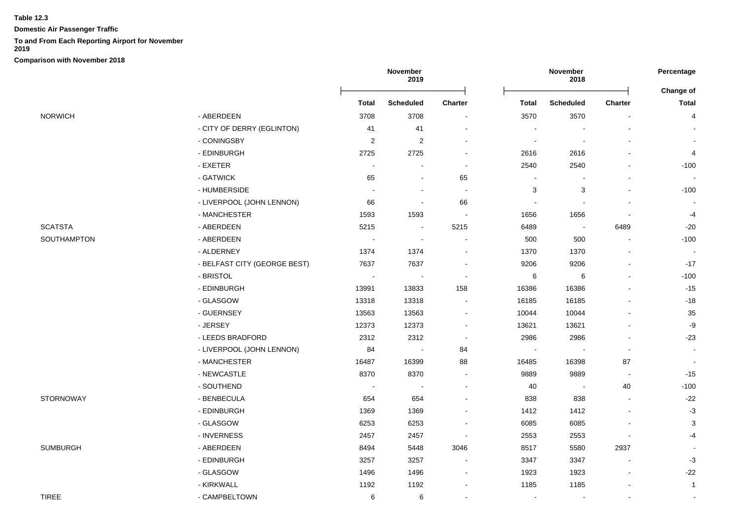**Domestic Air Passenger Traffic**

## **To and From Each Reporting Airport for November**

**2019**

|                 |                              | November<br>2019 |                          | November<br>2018         |                |                          | Percentage               |                    |
|-----------------|------------------------------|------------------|--------------------------|--------------------------|----------------|--------------------------|--------------------------|--------------------|
|                 |                              | Total            | <b>Scheduled</b>         | <b>Charter</b>           | <b>Total</b>   | <b>Scheduled</b>         | <b>Charter</b>           | Change of<br>Total |
| <b>NORWICH</b>  | - ABERDEEN                   | 3708             | 3708                     | $\blacksquare$           | 3570           | 3570                     |                          | 4                  |
|                 | - CITY OF DERRY (EGLINTON)   | 41               | 41                       | $\blacksquare$           |                |                          |                          |                    |
|                 | - CONINGSBY                  | $\overline{2}$   | $\overline{2}$           | $\blacksquare$           | $\blacksquare$ | $\overline{\phantom{a}}$ |                          |                    |
|                 | - EDINBURGH                  | 2725             | 2725                     | $\blacksquare$           | 2616           | 2616                     |                          | 4                  |
|                 | - EXETER                     | $\blacksquare$   | $\overline{\phantom{a}}$ | $\blacksquare$           | 2540           | 2540                     |                          | $-100$             |
|                 | - GATWICK                    | 65               | $\overline{a}$           | 65                       | $\blacksquare$ | $\blacksquare$           |                          | $\sim$             |
|                 | - HUMBERSIDE                 |                  | $\overline{\phantom{a}}$ | $\sim$                   | 3              | 3                        | $\sim$                   | $-100$             |
|                 | - LIVERPOOL (JOHN LENNON)    | 66               | $\overline{a}$           | 66                       | $\blacksquare$ | $\overline{\phantom{a}}$ |                          |                    |
|                 | - MANCHESTER                 | 1593             | 1593                     | $\sim$                   | 1656           | 1656                     |                          | $-4$               |
| <b>SCATSTA</b>  | - ABERDEEN                   | 5215             | $\sim$                   | 5215                     | 6489           | $\overline{\phantom{a}}$ | 6489                     | $-20$              |
| SOUTHAMPTON     | - ABERDEEN                   | $\sim$           | $\overline{\phantom{a}}$ | $\blacksquare$           | 500            | 500                      | $\blacksquare$           | $-100$             |
|                 | - ALDERNEY                   | 1374             | 1374                     | $\blacksquare$           | 1370           | 1370                     |                          |                    |
|                 | - BELFAST CITY (GEORGE BEST) | 7637             | 7637                     | $\overline{\phantom{a}}$ | 9206           | 9206                     |                          | $-17$              |
|                 | - BRISTOL                    | $\blacksquare$   | $\blacksquare$           | $\blacksquare$           | 6              | 6                        | $\overline{\phantom{a}}$ | $-100$             |
|                 | - EDINBURGH                  | 13991            | 13833                    | 158                      | 16386          | 16386                    | $\blacksquare$           | $-15$              |
|                 | - GLASGOW                    | 13318            | 13318                    | $\blacksquare$           | 16185          | 16185                    |                          | $-18$              |
|                 | - GUERNSEY                   | 13563            | 13563                    | $\blacksquare$           | 10044          | 10044                    |                          | 35                 |
|                 | - JERSEY                     | 12373            | 12373                    | $\sim$                   | 13621          | 13621                    |                          | -9                 |
|                 | - LEEDS BRADFORD             | 2312             | 2312                     | $\blacksquare$           | 2986           | 2986                     |                          | $-23$              |
|                 | - LIVERPOOL (JOHN LENNON)    | 84               | $\sim$                   | 84                       |                |                          | $\blacksquare$           | $\sim$             |
|                 | - MANCHESTER                 | 16487            | 16399                    | 88                       | 16485          | 16398                    | 87                       | $\sim$             |
|                 | - NEWCASTLE                  | 8370             | 8370                     | $\sim$                   | 9889           | 9889                     | $\blacksquare$           | $-15$              |
|                 | - SOUTHEND                   | $\blacksquare$   | $\overline{\phantom{a}}$ | $\blacksquare$           | 40             | $\blacksquare$           | 40                       | $-100$             |
| STORNOWAY       | - BENBECULA                  | 654              | 654                      | $\sim$                   | 838            | 838                      | $\sim$                   | $-22$              |
|                 | - EDINBURGH                  | 1369             | 1369                     |                          | 1412           | 1412                     |                          | $-3$               |
|                 | - GLASGOW                    | 6253             | 6253                     |                          | 6085           | 6085                     |                          | 3                  |
|                 | - INVERNESS                  | 2457             | 2457                     | $\overline{\phantom{a}}$ | 2553           | 2553                     |                          | $-4$               |
| <b>SUMBURGH</b> | - ABERDEEN                   | 8494             | 5448                     | 3046                     | 8517           | 5580                     | 2937                     |                    |
|                 | - EDINBURGH                  | 3257             | 3257                     | $\overline{\phantom{a}}$ | 3347           | 3347                     | $\blacksquare$           | $-3$               |
|                 | - GLASGOW                    | 1496             | 1496                     | $\blacksquare$           | 1923           | 1923                     | $\blacksquare$           | $-22$              |
|                 | - KIRKWALL                   | 1192             | 1192                     | $\blacksquare$           | 1185           | 1185                     |                          | $\overline{1}$     |
| <b>TIREE</b>    | - CAMPBELTOWN                | 6                | 6                        | $\blacksquare$           | $\sim$         | $\blacksquare$           | $\blacksquare$           |                    |